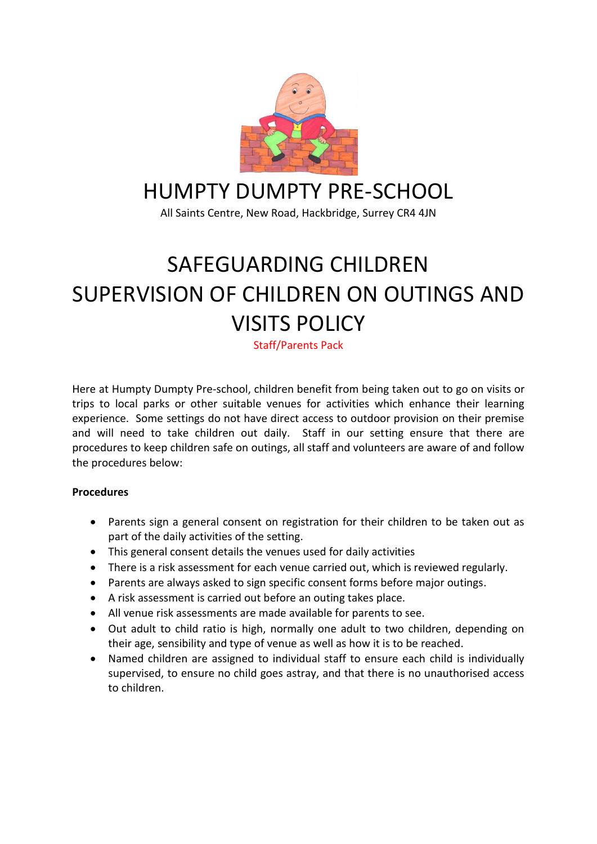

## HUMPTY DUMPTY PRE-SCHOOL

All Saints Centre, New Road, Hackbridge, Surrey CR4 4JN

## SAFEGUARDING CHILDREN SUPERVISION OF CHILDREN ON OUTINGS AND VISITS POLICY

Staff/Parents Pack

Here at Humpty Dumpty Pre-school, children benefit from being taken out to go on visits or trips to local parks or other suitable venues for activities which enhance their learning experience. Some settings do not have direct access to outdoor provision on their premise and will need to take children out daily. Staff in our setting ensure that there are procedures to keep children safe on outings, all staff and volunteers are aware of and follow the procedures below:

## **Procedures**

- Parents sign a general consent on registration for their children to be taken out as part of the daily activities of the setting.
- This general consent details the venues used for daily activities
- There is a risk assessment for each venue carried out, which is reviewed regularly.
- Parents are always asked to sign specific consent forms before major outings.
- A risk assessment is carried out before an outing takes place.
- All venue risk assessments are made available for parents to see.
- Out adult to child ratio is high, normally one adult to two children, depending on their age, sensibility and type of venue as well as how it is to be reached.
- Named children are assigned to individual staff to ensure each child is individually supervised, to ensure no child goes astray, and that there is no unauthorised access to children.